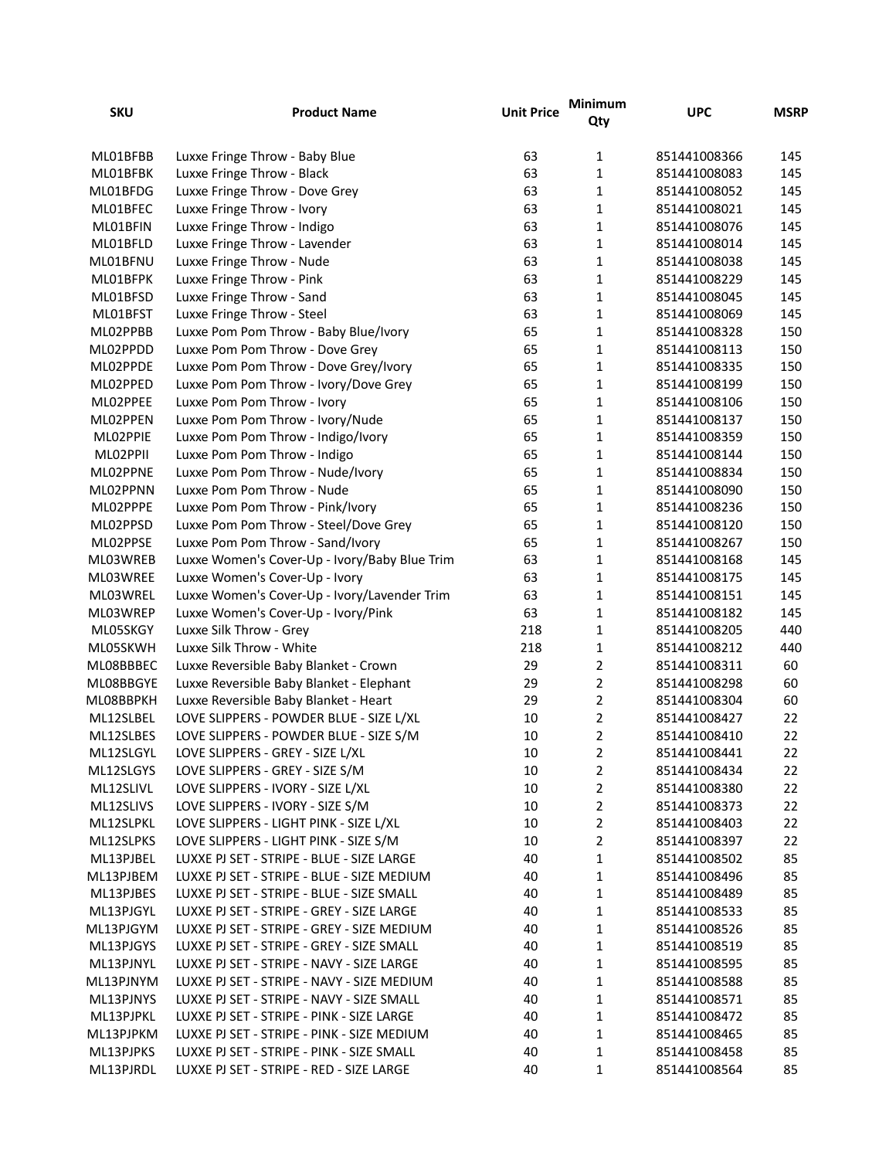| <b>SKU</b> | <b>Product Name</b>                           | <b>Unit Price</b> | Minimum<br>Qty | <b>UPC</b>   | <b>MSRP</b> |
|------------|-----------------------------------------------|-------------------|----------------|--------------|-------------|
| ML01BFBB   | Luxxe Fringe Throw - Baby Blue                | 63                | $\mathbf{1}$   | 851441008366 | 145         |
| ML01BFBK   | Luxxe Fringe Throw - Black                    | 63                | $\mathbf{1}$   | 851441008083 | 145         |
| ML01BFDG   | Luxxe Fringe Throw - Dove Grey                | 63                | $\mathbf{1}$   | 851441008052 | 145         |
| ML01BFEC   | Luxxe Fringe Throw - Ivory                    | 63                | $\mathbf{1}$   | 851441008021 | 145         |
| ML01BFIN   | Luxxe Fringe Throw - Indigo                   | 63                | $\mathbf{1}$   | 851441008076 | 145         |
| ML01BFLD   | Luxxe Fringe Throw - Lavender                 | 63                | $\mathbf{1}$   | 851441008014 | 145         |
| ML01BFNU   | Luxxe Fringe Throw - Nude                     | 63                | $\mathbf{1}$   | 851441008038 | 145         |
| ML01BFPK   | Luxxe Fringe Throw - Pink                     | 63                | $\mathbf{1}$   | 851441008229 | 145         |
| ML01BFSD   | Luxxe Fringe Throw - Sand                     | 63                | $\mathbf{1}$   | 851441008045 | 145         |
| ML01BFST   | Luxxe Fringe Throw - Steel                    | 63                | $\mathbf{1}$   | 851441008069 | 145         |
| ML02PPBB   | Luxxe Pom Pom Throw - Baby Blue/Ivory         | 65                | $\mathbf{1}$   | 851441008328 | 150         |
| ML02PPDD   | Luxxe Pom Pom Throw - Dove Grey               | 65                | $\mathbf{1}$   | 851441008113 | 150         |
| ML02PPDE   | Luxxe Pom Pom Throw - Dove Grey/Ivory         | 65                | $\mathbf{1}$   | 851441008335 | 150         |
| ML02PPED   | Luxxe Pom Pom Throw - Ivory/Dove Grey         | 65                | $\mathbf{1}$   | 851441008199 | 150         |
| ML02PPEE   | Luxxe Pom Pom Throw - Ivory                   | 65                | $\mathbf{1}$   | 851441008106 | 150         |
| ML02PPEN   | Luxxe Pom Pom Throw - Ivory/Nude              | 65                | $\mathbf{1}$   | 851441008137 | 150         |
| ML02PPIE   | Luxxe Pom Pom Throw - Indigo/Ivory            | 65                | $\mathbf{1}$   | 851441008359 | 150         |
| ML02PPII   | Luxxe Pom Pom Throw - Indigo                  | 65                | $\mathbf{1}$   | 851441008144 | 150         |
| ML02PPNE   | Luxxe Pom Pom Throw - Nude/Ivory              | 65                | $\mathbf{1}$   | 851441008834 | 150         |
| ML02PPNN   | Luxxe Pom Pom Throw - Nude                    | 65                | $\mathbf{1}$   | 851441008090 | 150         |
| ML02PPPE   | Luxxe Pom Pom Throw - Pink/Ivory              | 65                | $\mathbf{1}$   | 851441008236 | 150         |
| ML02PPSD   | Luxxe Pom Pom Throw - Steel/Dove Grey         | 65                | $\mathbf{1}$   | 851441008120 | 150         |
| ML02PPSE   | Luxxe Pom Pom Throw - Sand/Ivory              | 65                | $\mathbf{1}$   | 851441008267 | 150         |
| ML03WREB   | Luxxe Women's Cover-Up - Ivory/Baby Blue Trim | 63                | $\mathbf{1}$   | 851441008168 | 145         |
| ML03WREE   | Luxxe Women's Cover-Up - Ivory                | 63                | $\mathbf{1}$   | 851441008175 | 145         |
| ML03WREL   | Luxxe Women's Cover-Up - Ivory/Lavender Trim  | 63                | $\mathbf{1}$   | 851441008151 | 145         |
| ML03WREP   | Luxxe Women's Cover-Up - Ivory/Pink           | 63                | $\mathbf{1}$   | 851441008182 | 145         |
| ML05SKGY   | Luxxe Silk Throw - Grey                       | 218               | $\mathbf{1}$   | 851441008205 | 440         |
| ML05SKWH   | Luxxe Silk Throw - White                      | 218               | $\mathbf 1$    | 851441008212 | 440         |
| ML08BBBEC  | Luxxe Reversible Baby Blanket - Crown         | 29                | $\overline{2}$ | 851441008311 | 60          |
| ML08BBGYE  | Luxxe Reversible Baby Blanket - Elephant      | 29                | $\overline{2}$ | 851441008298 | 60          |
| ML08BBPKH  | Luxxe Reversible Baby Blanket - Heart         | 29                | $\overline{2}$ | 851441008304 | 60          |
| ML12SLBEL  | LOVE SLIPPERS - POWDER BLUE - SIZE L/XL       | 10                | $\overline{2}$ | 851441008427 | 22          |
| ML12SLBES  | LOVE SLIPPERS - POWDER BLUE - SIZE S/M        | 10                | $\overline{2}$ | 851441008410 | 22          |
| ML12SLGYL  | LOVE SLIPPERS - GREY - SIZE L/XL              | 10                | $\overline{2}$ | 851441008441 | 22          |
| ML12SLGYS  | LOVE SLIPPERS - GREY - SIZE S/M               | $10\,$            | $\overline{2}$ | 851441008434 | 22          |
| ML12SLIVL  | LOVE SLIPPERS - IVORY - SIZE L/XL             | $10\,$            | $\overline{2}$ | 851441008380 | 22          |
| ML12SLIVS  | LOVE SLIPPERS - IVORY - SIZE S/M              | $10\,$            | $\overline{2}$ | 851441008373 | 22          |
| ML12SLPKL  | LOVE SLIPPERS - LIGHT PINK - SIZE L/XL        | 10                | $\overline{2}$ | 851441008403 | 22          |
| ML12SLPKS  | LOVE SLIPPERS - LIGHT PINK - SIZE S/M         | 10                | $\overline{2}$ | 851441008397 | 22          |
| ML13PJBEL  | LUXXE PJ SET - STRIPE - BLUE - SIZE LARGE     | 40                | $\mathbf 1$    | 851441008502 | 85          |
| ML13PJBEM  | LUXXE PJ SET - STRIPE - BLUE - SIZE MEDIUM    | 40                | $\mathbf 1$    | 851441008496 | 85          |
| ML13PJBES  | LUXXE PJ SET - STRIPE - BLUE - SIZE SMALL     | 40                | $\mathbf 1$    | 851441008489 | 85          |
| ML13PJGYL  | LUXXE PJ SET - STRIPE - GREY - SIZE LARGE     | 40                | $\mathbf 1$    | 851441008533 | 85          |
| ML13PJGYM  | LUXXE PJ SET - STRIPE - GREY - SIZE MEDIUM    | 40                | $\mathbf 1$    | 851441008526 | 85          |
| ML13PJGYS  | LUXXE PJ SET - STRIPE - GREY - SIZE SMALL     | 40                | $\mathbf 1$    | 851441008519 | 85          |
| ML13PJNYL  | LUXXE PJ SET - STRIPE - NAVY - SIZE LARGE     | 40                | $\mathbf 1$    | 851441008595 | 85          |
| ML13PJNYM  | LUXXE PJ SET - STRIPE - NAVY - SIZE MEDIUM    | 40                | $\mathbf 1$    | 851441008588 | 85          |
| ML13PJNYS  | LUXXE PJ SET - STRIPE - NAVY - SIZE SMALL     | 40                | $\mathbf 1$    | 851441008571 | 85          |
| ML13PJPKL  | LUXXE PJ SET - STRIPE - PINK - SIZE LARGE     | 40                | $\mathbf 1$    | 851441008472 | 85          |
| ML13PJPKM  | LUXXE PJ SET - STRIPE - PINK - SIZE MEDIUM    | 40                | $\mathbf 1$    | 851441008465 | 85          |
| ML13PJPKS  | LUXXE PJ SET - STRIPE - PINK - SIZE SMALL     | 40                | $\mathbf{1}$   | 851441008458 | 85          |
| ML13PJRDL  | LUXXE PJ SET - STRIPE - RED - SIZE LARGE      | 40                | $\mathbf 1$    | 851441008564 | 85          |
|            |                                               |                   |                |              |             |